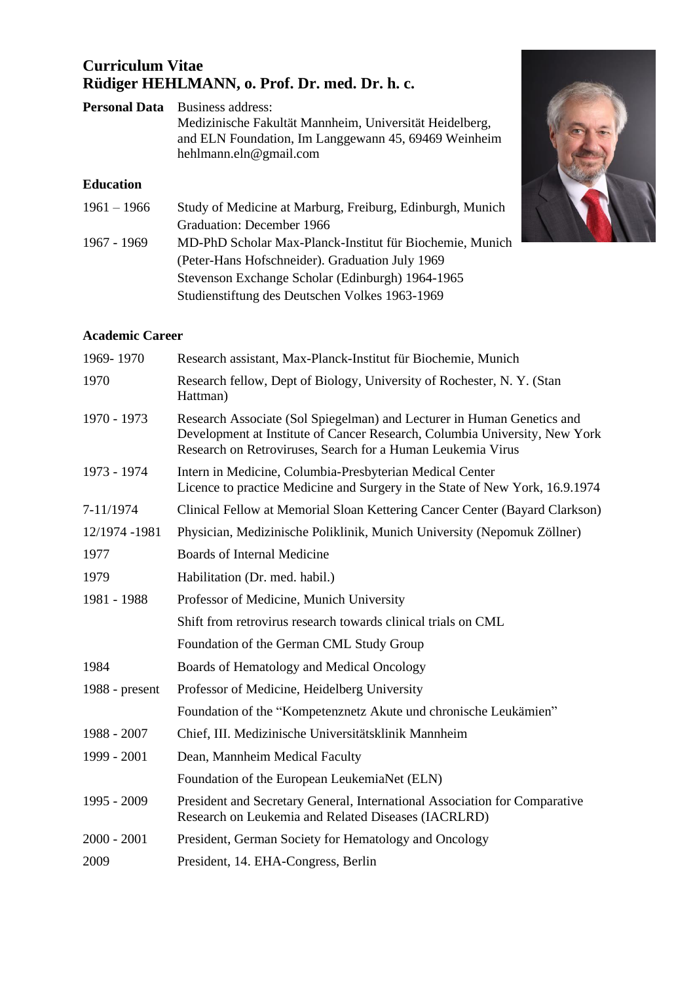## **Curriculum Vitae Rüdiger HEHLMANN, o. Prof. Dr. med. Dr. h. c.**

| <b>Personal Data</b> | Business address:<br>Medizinische Fakultät Mannheim, Universität Heidelberg,<br>and ELN Foundation, Im Langgewann 45, 69469 Weinheim<br>hehlmann.eln@gmail.com |
|----------------------|----------------------------------------------------------------------------------------------------------------------------------------------------------------|
| <b>Education</b>     |                                                                                                                                                                |
| $1961 - 1966$        | Study of Medicine at Marburg, Freiburg, Edinburgh, Munich                                                                                                      |
|                      | Graduation: December 1966                                                                                                                                      |
| 1967 - 1969          | MD-PhD Scholar Max-Planck-Institut für Biochemie, Munich                                                                                                       |
|                      | (Peter-Hans Hofschneider). Graduation July 1969                                                                                                                |
|                      | Stevenson Exchange Scholar (Edinburgh) 1964-1965                                                                                                               |
|                      | Studienstiftung des Deutschen Volkes 1963-1969                                                                                                                 |



### **Academic Career**

| 1969-1970      | Research assistant, Max-Planck-Institut für Biochemie, Munich                                                                                                                                                       |  |
|----------------|---------------------------------------------------------------------------------------------------------------------------------------------------------------------------------------------------------------------|--|
| 1970           | Research fellow, Dept of Biology, University of Rochester, N.Y. (Stan<br>Hattman)                                                                                                                                   |  |
| 1970 - 1973    | Research Associate (Sol Spiegelman) and Lecturer in Human Genetics and<br>Development at Institute of Cancer Research, Columbia University, New York<br>Research on Retroviruses, Search for a Human Leukemia Virus |  |
| 1973 - 1974    | Intern in Medicine, Columbia-Presbyterian Medical Center<br>Licence to practice Medicine and Surgery in the State of New York, 16.9.1974                                                                            |  |
| 7-11/1974      | Clinical Fellow at Memorial Sloan Kettering Cancer Center (Bayard Clarkson)                                                                                                                                         |  |
| 12/1974 -1981  | Physician, Medizinische Poliklinik, Munich University (Nepomuk Zöllner)                                                                                                                                             |  |
| 1977           | <b>Boards of Internal Medicine</b>                                                                                                                                                                                  |  |
| 1979           | Habilitation (Dr. med. habil.)                                                                                                                                                                                      |  |
| 1981 - 1988    | Professor of Medicine, Munich University                                                                                                                                                                            |  |
|                | Shift from retrovirus research towards clinical trials on CML                                                                                                                                                       |  |
|                | Foundation of the German CML Study Group                                                                                                                                                                            |  |
| 1984           | Boards of Hematology and Medical Oncology                                                                                                                                                                           |  |
| 1988 - present | Professor of Medicine, Heidelberg University                                                                                                                                                                        |  |
|                | Foundation of the "Kompetenznetz Akute und chronische Leukämien"                                                                                                                                                    |  |
| 1988 - 2007    | Chief, III. Medizinische Universitätsklinik Mannheim                                                                                                                                                                |  |
| 1999 - 2001    | Dean, Mannheim Medical Faculty                                                                                                                                                                                      |  |
|                | Foundation of the European LeukemiaNet (ELN)                                                                                                                                                                        |  |
| 1995 - 2009    | President and Secretary General, International Association for Comparative<br>Research on Leukemia and Related Diseases (IACRLRD)                                                                                   |  |
| $2000 - 2001$  | President, German Society for Hematology and Oncology                                                                                                                                                               |  |
| 2009           | President, 14. EHA-Congress, Berlin                                                                                                                                                                                 |  |
|                |                                                                                                                                                                                                                     |  |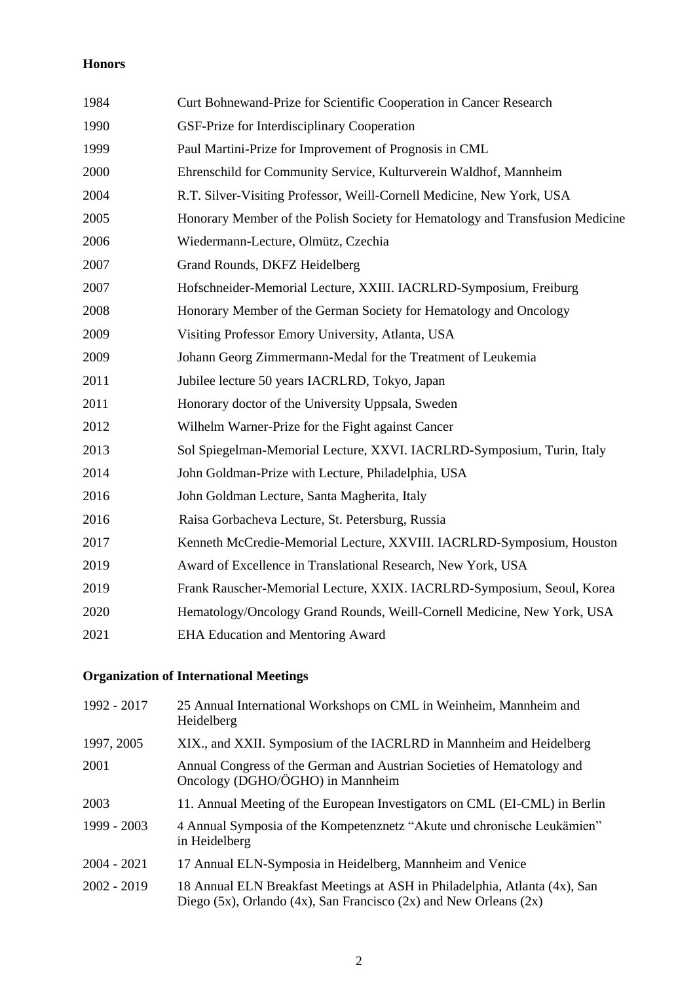### **Honors**

| Curt Bohnewand-Prize for Scientific Cooperation in Cancer Research            |
|-------------------------------------------------------------------------------|
| GSF-Prize for Interdisciplinary Cooperation                                   |
| Paul Martini-Prize for Improvement of Prognosis in CML                        |
| Ehrenschild for Community Service, Kulturverein Waldhof, Mannheim             |
| R.T. Silver-Visiting Professor, Weill-Cornell Medicine, New York, USA         |
| Honorary Member of the Polish Society for Hematology and Transfusion Medicine |
| Wiedermann-Lecture, Olmütz, Czechia                                           |
| Grand Rounds, DKFZ Heidelberg                                                 |
| Hofschneider-Memorial Lecture, XXIII. IACRLRD-Symposium, Freiburg             |
| Honorary Member of the German Society for Hematology and Oncology             |
| Visiting Professor Emory University, Atlanta, USA                             |
| Johann Georg Zimmermann-Medal for the Treatment of Leukemia                   |
| Jubilee lecture 50 years IACRLRD, Tokyo, Japan                                |
| Honorary doctor of the University Uppsala, Sweden                             |
| Wilhelm Warner-Prize for the Fight against Cancer                             |
| Sol Spiegelman-Memorial Lecture, XXVI. IACRLRD-Symposium, Turin, Italy        |
| John Goldman-Prize with Lecture, Philadelphia, USA                            |
| John Goldman Lecture, Santa Magherita, Italy                                  |
| Raisa Gorbacheva Lecture, St. Petersburg, Russia                              |
| Kenneth McCredie-Memorial Lecture, XXVIII. IACRLRD-Symposium, Houston         |
| Award of Excellence in Translational Research, New York, USA                  |
| Frank Rauscher-Memorial Lecture, XXIX. IACRLRD-Symposium, Seoul, Korea        |
| Hematology/Oncology Grand Rounds, Weill-Cornell Medicine, New York, USA       |
| <b>EHA Education and Mentoring Award</b>                                      |
|                                                                               |

# **Organization of International Meetings**

| 1992 - 2017   | 25 Annual International Workshops on CML in Weinheim, Mannheim and<br>Heidelberg                                                                |
|---------------|-------------------------------------------------------------------------------------------------------------------------------------------------|
| 1997, 2005    | XIX., and XXII. Symposium of the IACRLRD in Mannheim and Heidelberg                                                                             |
| 2001          | Annual Congress of the German and Austrian Societies of Hematology and<br>Oncology (DGHO/ÖGHO) in Mannheim                                      |
| 2003          | 11. Annual Meeting of the European Investigators on CML (EI-CML) in Berlin                                                                      |
| 1999 - 2003   | 4 Annual Symposia of the Kompetenznetz "Akute und chronische Leukämien"<br>in Heidelberg                                                        |
| $2004 - 2021$ | 17 Annual ELN-Symposia in Heidelberg, Mannheim and Venice                                                                                       |
| $2002 - 2019$ | 18 Annual ELN Breakfast Meetings at ASH in Philadelphia, Atlanta (4x), San<br>Diego (5x), Orlando (4x), San Francisco (2x) and New Orleans (2x) |